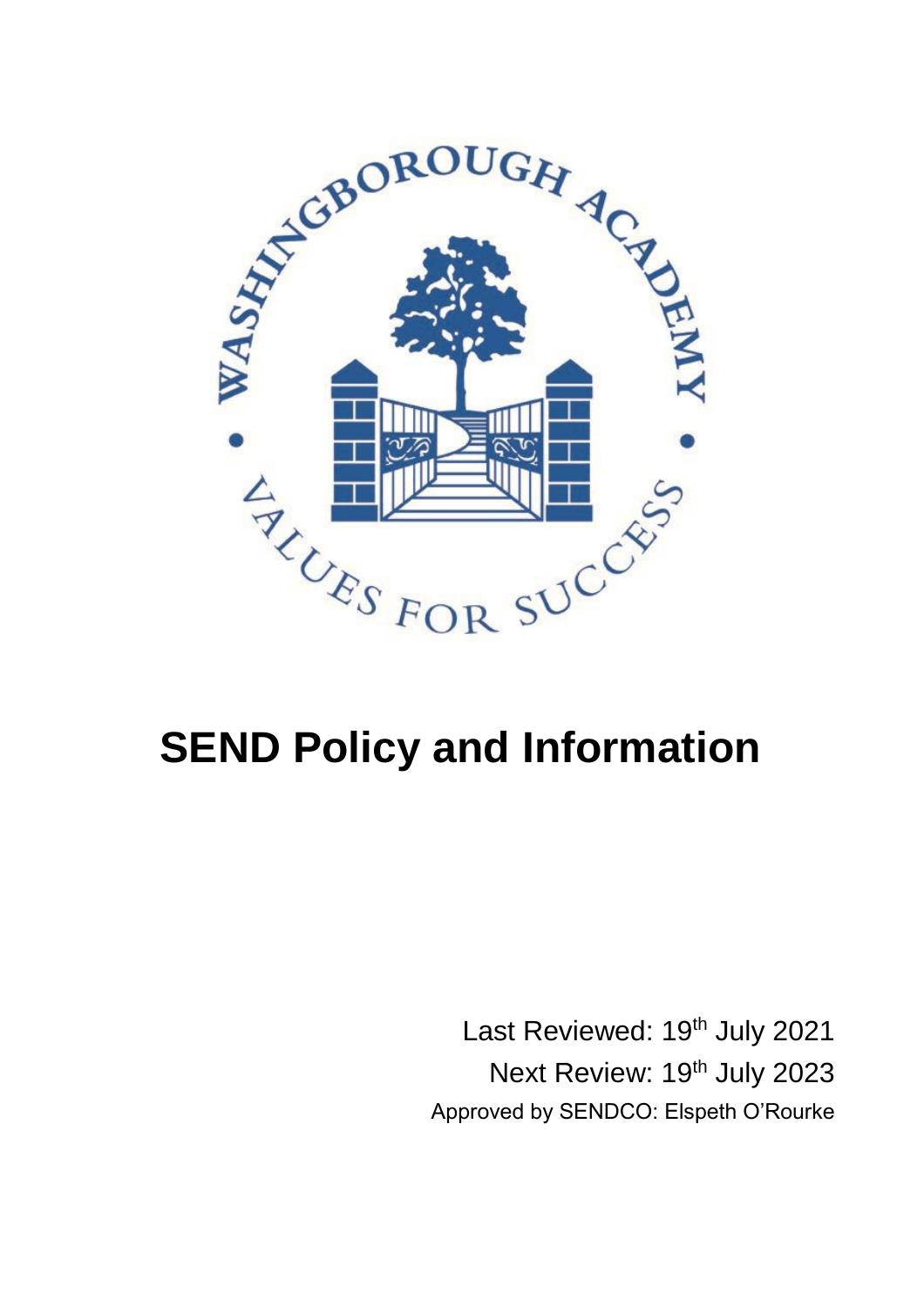

# **SEND Policy and Information**

Last Reviewed: 19<sup>th</sup> July 2021 Next Review: 19<sup>th</sup> July 2023 Approved by SENDCO: Elspeth O'Rourke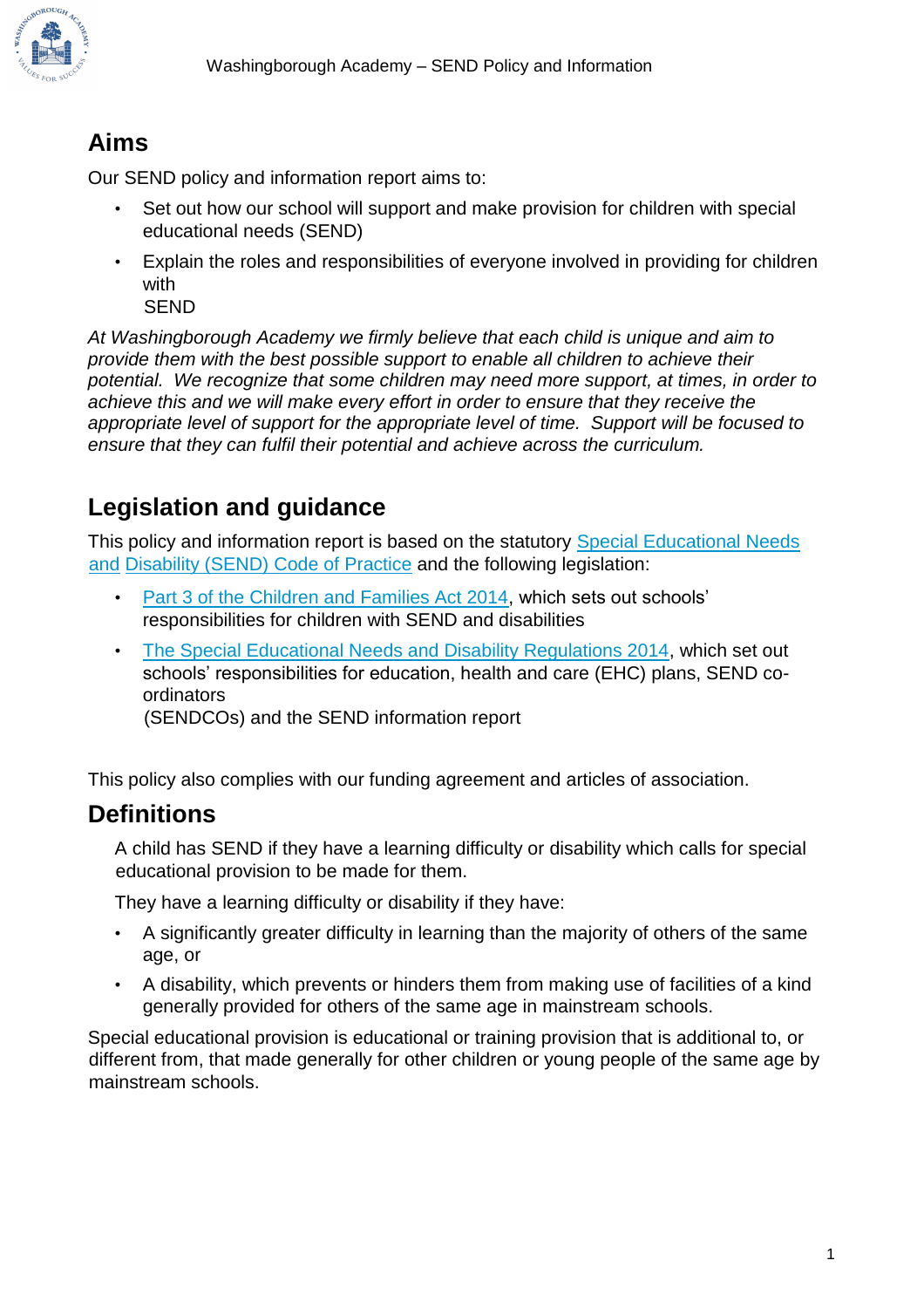

# **Aims**

Our SEND policy and information report aims to:

- Set out how our school will support and make provision for children with special educational needs (SEND)
- Explain the roles and responsibilities of everyone involved in providing for children with

SEND

*At Washingborough Academy we firmly believe that each child is unique and aim to provide them with the best possible support to enable all children to achieve their potential. We recognize that some children may need more support, at times, in order to achieve this and we will make every effort in order to ensure that they receive the appropriate level of support for the appropriate level of time. Support will be focused to ensure that they can fulfil their potential and achieve across the curriculum.* 

# **Legislation and guidance**

This policy and information report is based on the statutory Special Educational Needs [and](https://www.gov.uk/government/uploads/system/uploads/attachment_data/file/398815/SEND_Code_of_Practice_January_2015.pdf) [Disability \(SEND\) Code of Practice](https://www.gov.uk/government/uploads/system/uploads/attachment_data/file/398815/SEND_Code_of_Practice_January_2015.pdf) [a](https://www.gov.uk/government/uploads/system/uploads/attachment_data/file/398815/SEND_Code_of_Practice_January_2015.pdf)nd the following legislation:

- [Part 3 of the Children and Families Act 2014,](http://www.legislation.gov.uk/ukpga/2014/6/part/3) which sets out schools' responsibilities for children with SEND and disabilities
- [The Special Educational Needs and Disability Regulations 2014,](http://www.legislation.gov.uk/uksi/2014/1530/contents/made) which set out schools' responsibilities for education, health and care (EHC) plans, SEND coordinators

(SENDCOs) and the SEND information report

This policy also complies with our funding agreement and articles of association.

## **Definitions**

A child has SEND if they have a learning difficulty or disability which calls for special educational provision to be made for them.

They have a learning difficulty or disability if they have:

- A significantly greater difficulty in learning than the majority of others of the same age, or
- A disability, which prevents or hinders them from making use of facilities of a kind generally provided for others of the same age in mainstream schools.

Special educational provision is educational or training provision that is additional to, or different from, that made generally for other children or young people of the same age by mainstream schools.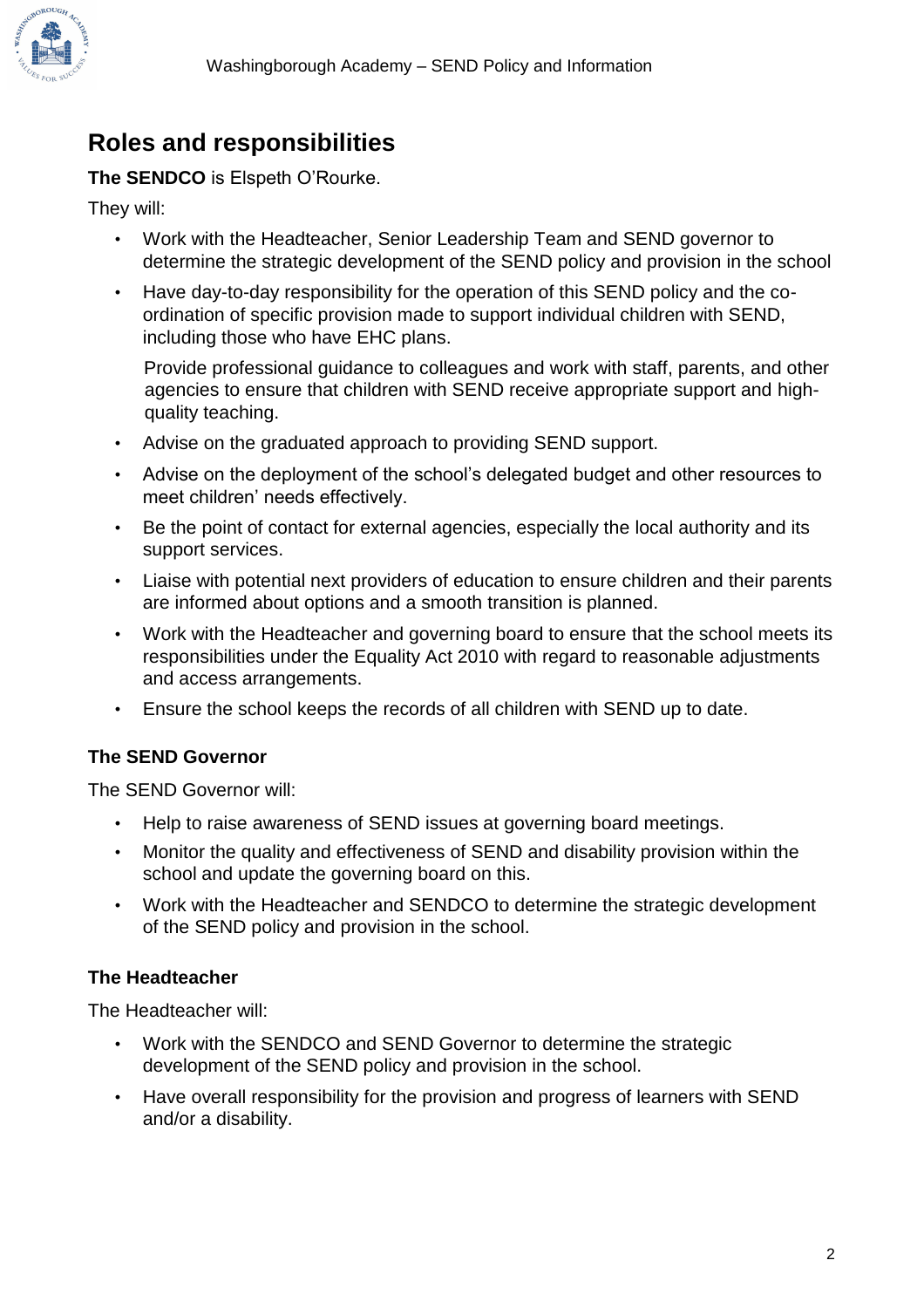# **Roles and responsibilities**

**The SENDCO** is Elspeth O'Rourke.

They will:

- Work with the Headteacher, Senior Leadership Team and SEND governor to determine the strategic development of the SEND policy and provision in the school
- Have day-to-day responsibility for the operation of this SEND policy and the coordination of specific provision made to support individual children with SEND, including those who have EHC plans.

Provide professional guidance to colleagues and work with staff, parents, and other agencies to ensure that children with SEND receive appropriate support and highquality teaching.

- Advise on the graduated approach to providing SEND support.
- Advise on the deployment of the school's delegated budget and other resources to meet children' needs effectively.
- Be the point of contact for external agencies, especially the local authority and its support services.
- Liaise with potential next providers of education to ensure children and their parents are informed about options and a smooth transition is planned.
- Work with the Headteacher and governing board to ensure that the school meets its responsibilities under the Equality Act 2010 with regard to reasonable adjustments and access arrangements.
- Ensure the school keeps the records of all children with SEND up to date.

## **The SEND Governor**

The SEND Governor will:

- Help to raise awareness of SEND issues at governing board meetings.
- Monitor the quality and effectiveness of SEND and disability provision within the school and update the governing board on this.
- Work with the Headteacher and SENDCO to determine the strategic development of the SEND policy and provision in the school.

#### **The Headteacher**

The Headteacher will:

- Work with the SENDCO and SEND Governor to determine the strategic development of the SEND policy and provision in the school.
- Have overall responsibility for the provision and progress of learners with SEND and/or a disability.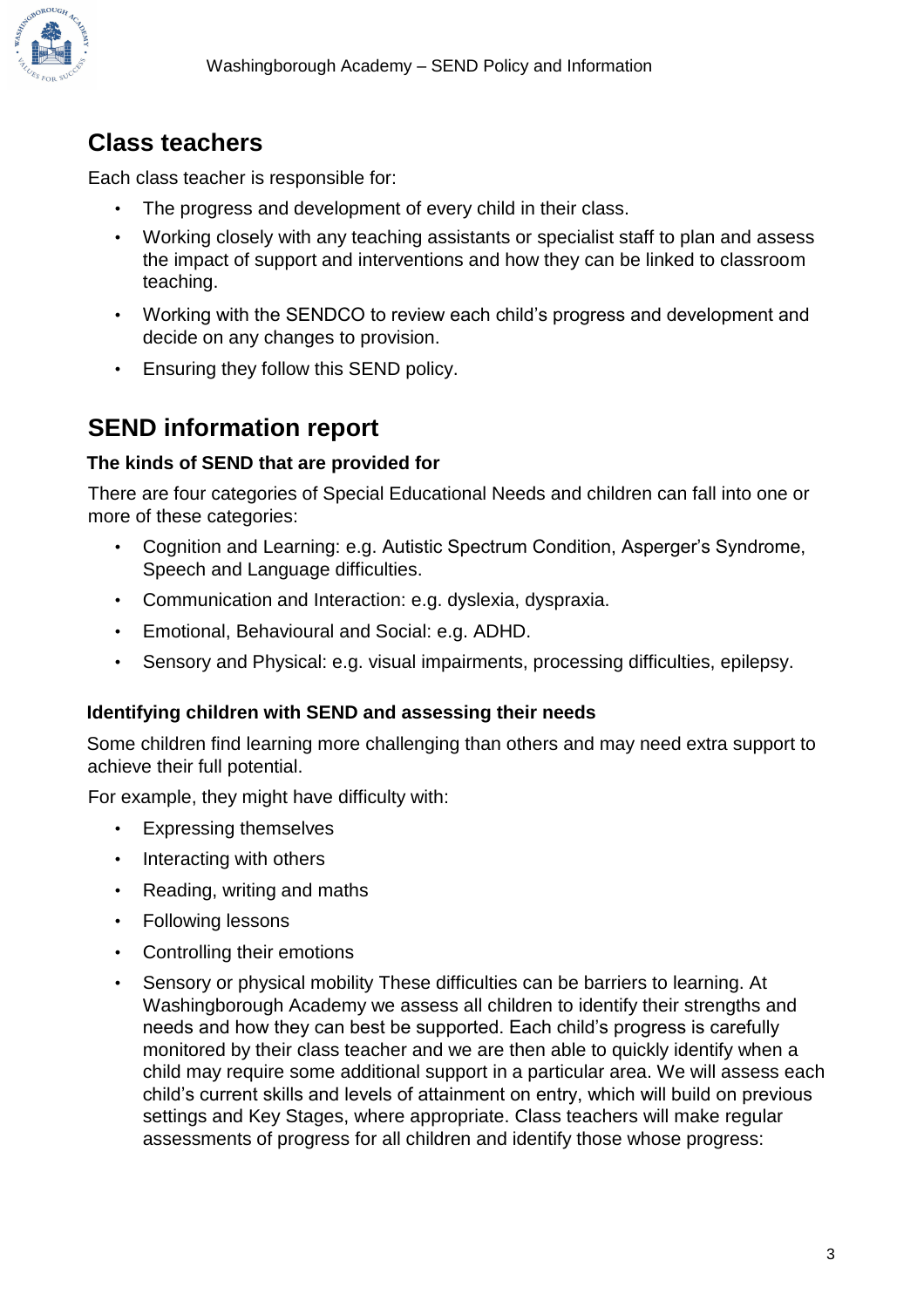

# **Class teachers**

Each class teacher is responsible for:

- The progress and development of every child in their class.
- Working closely with any teaching assistants or specialist staff to plan and assess the impact of support and interventions and how they can be linked to classroom teaching.
- Working with the SENDCO to review each child's progress and development and decide on any changes to provision.
- Ensuring they follow this SEND policy.

# **SEND information report**

## **The kinds of SEND that are provided for**

There are four categories of Special Educational Needs and children can fall into one or more of these categories:

- Cognition and Learning: e.g. Autistic Spectrum Condition, Asperger's Syndrome, Speech and Language difficulties.
- Communication and Interaction: e.g. dyslexia, dyspraxia.
- Emotional, Behavioural and Social: e.g. ADHD.
- Sensory and Physical: e.g. visual impairments, processing difficulties, epilepsy.

## **Identifying children with SEND and assessing their needs**

Some children find learning more challenging than others and may need extra support to achieve their full potential.

For example, they might have difficulty with:

- Expressing themselves
- Interacting with others
- Reading, writing and maths
- Following lessons
- Controlling their emotions
- Sensory or physical mobility These difficulties can be barriers to learning. At Washingborough Academy we assess all children to identify their strengths and needs and how they can best be supported. Each child's progress is carefully monitored by their class teacher and we are then able to quickly identify when a child may require some additional support in a particular area. We will assess each child's current skills and levels of attainment on entry, which will build on previous settings and Key Stages, where appropriate. Class teachers will make regular assessments of progress for all children and identify those whose progress: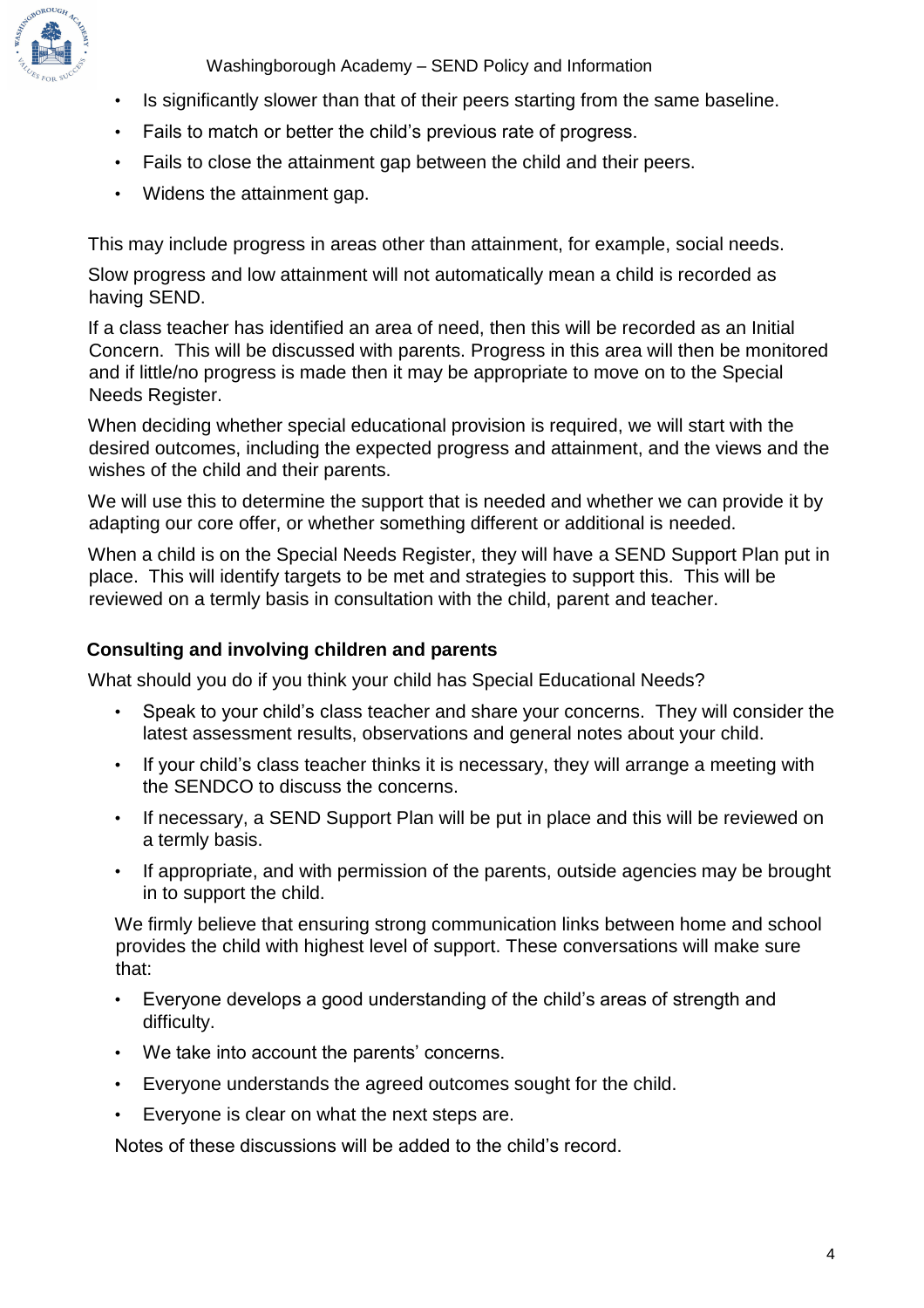

Washingborough Academy – SEND Policy and Information

- Is significantly slower than that of their peers starting from the same baseline.
- Fails to match or better the child's previous rate of progress.
- Fails to close the attainment gap between the child and their peers.
- Widens the attainment gap.

This may include progress in areas other than attainment, for example, social needs.

Slow progress and low attainment will not automatically mean a child is recorded as having SEND.

If a class teacher has identified an area of need, then this will be recorded as an Initial Concern. This will be discussed with parents. Progress in this area will then be monitored and if little/no progress is made then it may be appropriate to move on to the Special Needs Register.

When deciding whether special educational provision is required, we will start with the desired outcomes, including the expected progress and attainment, and the views and the wishes of the child and their parents.

We will use this to determine the support that is needed and whether we can provide it by adapting our core offer, or whether something different or additional is needed.

When a child is on the Special Needs Register, they will have a SEND Support Plan put in place. This will identify targets to be met and strategies to support this. This will be reviewed on a termly basis in consultation with the child, parent and teacher.

#### **Consulting and involving children and parents**

What should you do if you think your child has Special Educational Needs?

- Speak to your child's class teacher and share your concerns. They will consider the latest assessment results, observations and general notes about your child.
- If your child's class teacher thinks it is necessary, they will arrange a meeting with the SENDCO to discuss the concerns.
- If necessary, a SEND Support Plan will be put in place and this will be reviewed on a termly basis.
- If appropriate, and with permission of the parents, outside agencies may be brought in to support the child.

We firmly believe that ensuring strong communication links between home and school provides the child with highest level of support. These conversations will make sure that:

- Everyone develops a good understanding of the child's areas of strength and difficulty.
- We take into account the parents' concerns.
- Everyone understands the agreed outcomes sought for the child.
- Everyone is clear on what the next steps are.

Notes of these discussions will be added to the child's record.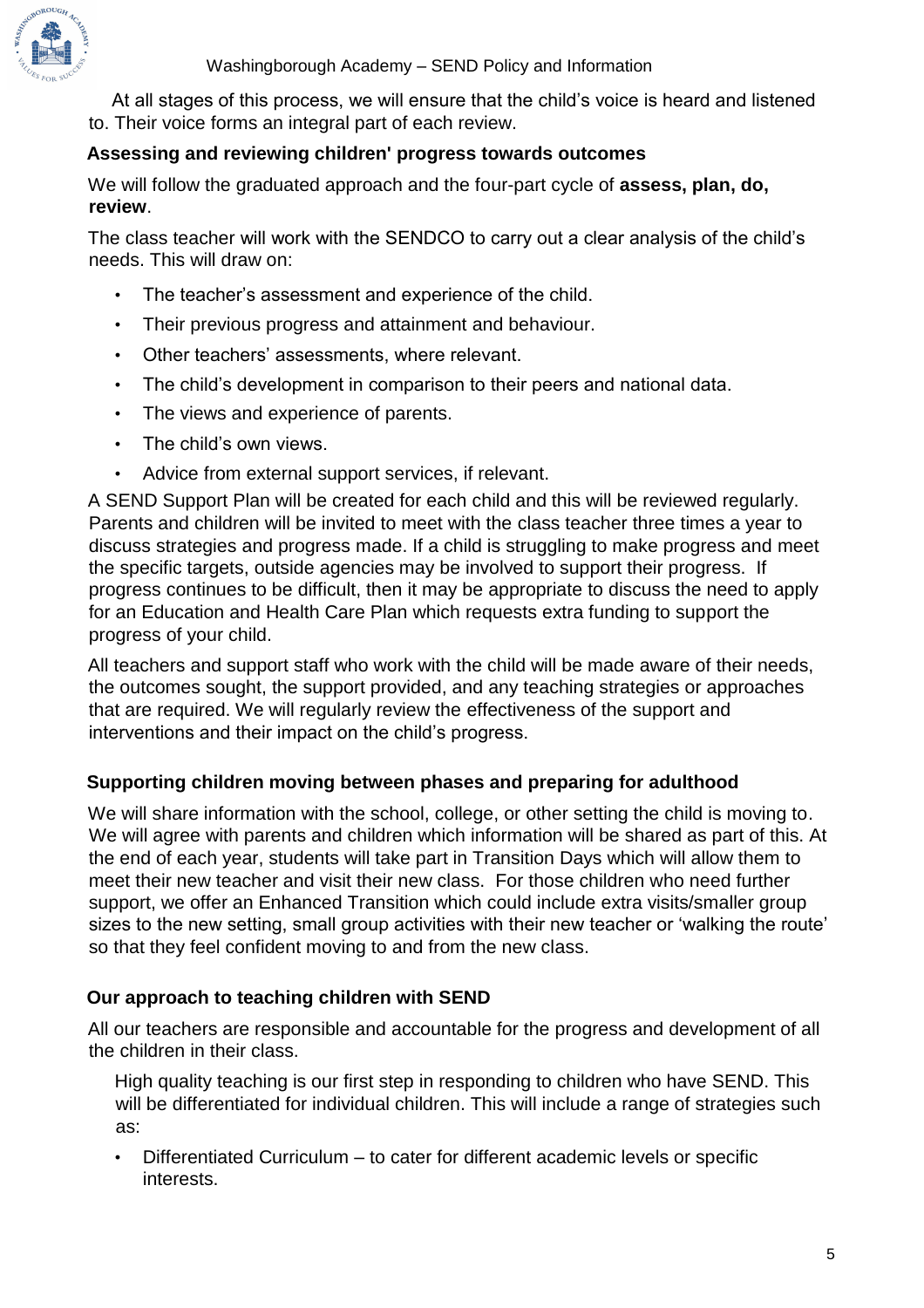

At all stages of this process, we will ensure that the child's voice is heard and listened to. Their voice forms an integral part of each review.

#### **Assessing and reviewing children' progress towards outcomes**

We will follow the graduated approach and the four-part cycle of **assess, plan, do, review**.

The class teacher will work with the SENDCO to carry out a clear analysis of the child's needs. This will draw on:

- The teacher's assessment and experience of the child.
- Their previous progress and attainment and behaviour.
- Other teachers' assessments, where relevant.
- The child's development in comparison to their peers and national data.
- The views and experience of parents.
- The child's own views.
- Advice from external support services, if relevant.

A SEND Support Plan will be created for each child and this will be reviewed regularly. Parents and children will be invited to meet with the class teacher three times a year to discuss strategies and progress made. If a child is struggling to make progress and meet the specific targets, outside agencies may be involved to support their progress. If progress continues to be difficult, then it may be appropriate to discuss the need to apply for an Education and Health Care Plan which requests extra funding to support the progress of your child.

All teachers and support staff who work with the child will be made aware of their needs, the outcomes sought, the support provided, and any teaching strategies or approaches that are required. We will regularly review the effectiveness of the support and interventions and their impact on the child's progress.

#### **Supporting children moving between phases and preparing for adulthood**

We will share information with the school, college, or other setting the child is moving to. We will agree with parents and children which information will be shared as part of this. At the end of each year, students will take part in Transition Days which will allow them to meet their new teacher and visit their new class. For those children who need further support, we offer an Enhanced Transition which could include extra visits/smaller group sizes to the new setting, small group activities with their new teacher or 'walking the route' so that they feel confident moving to and from the new class.

#### **Our approach to teaching children with SEND**

All our teachers are responsible and accountable for the progress and development of all the children in their class.

High quality teaching is our first step in responding to children who have SEND. This will be differentiated for individual children. This will include a range of strategies such as:

• Differentiated Curriculum – to cater for different academic levels or specific interests.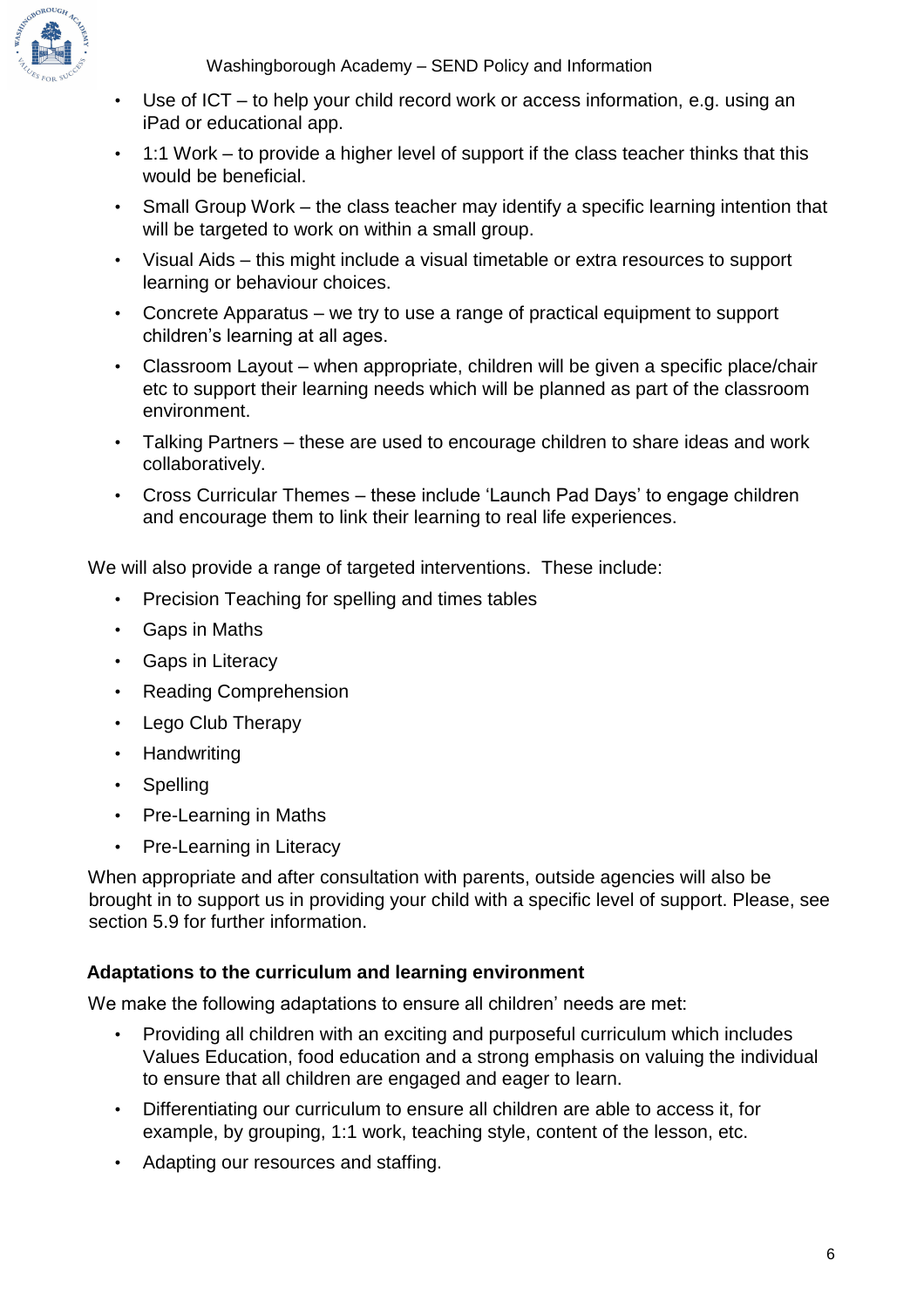

Washingborough Academy – SEND Policy and Information

- Use of ICT to help your child record work or access information, e.g. using an iPad or educational app.
- 1:1 Work to provide a higher level of support if the class teacher thinks that this would be beneficial.
- Small Group Work the class teacher may identify a specific learning intention that will be targeted to work on within a small group.
- Visual Aids this might include a visual timetable or extra resources to support learning or behaviour choices.
- Concrete Apparatus we try to use a range of practical equipment to support children's learning at all ages.
- Classroom Layout when appropriate, children will be given a specific place/chair etc to support their learning needs which will be planned as part of the classroom environment.
- Talking Partners these are used to encourage children to share ideas and work collaboratively.
- Cross Curricular Themes these include 'Launch Pad Days' to engage children and encourage them to link their learning to real life experiences.

We will also provide a range of targeted interventions. These include:

- Precision Teaching for spelling and times tables
- Gaps in Maths
- Gaps in Literacy
- Reading Comprehension
- Lego Club Therapy
- Handwriting
- Spelling
- Pre-Learning in Maths
- Pre-Learning in Literacy

When appropriate and after consultation with parents, outside agencies will also be brought in to support us in providing your child with a specific level of support. Please, see section 5.9 for further information.

#### **Adaptations to the curriculum and learning environment**

We make the following adaptations to ensure all children' needs are met:

- Providing all children with an exciting and purposeful curriculum which includes Values Education, food education and a strong emphasis on valuing the individual to ensure that all children are engaged and eager to learn.
- Differentiating our curriculum to ensure all children are able to access it, for example, by grouping, 1:1 work, teaching style, content of the lesson, etc.
- Adapting our resources and staffing.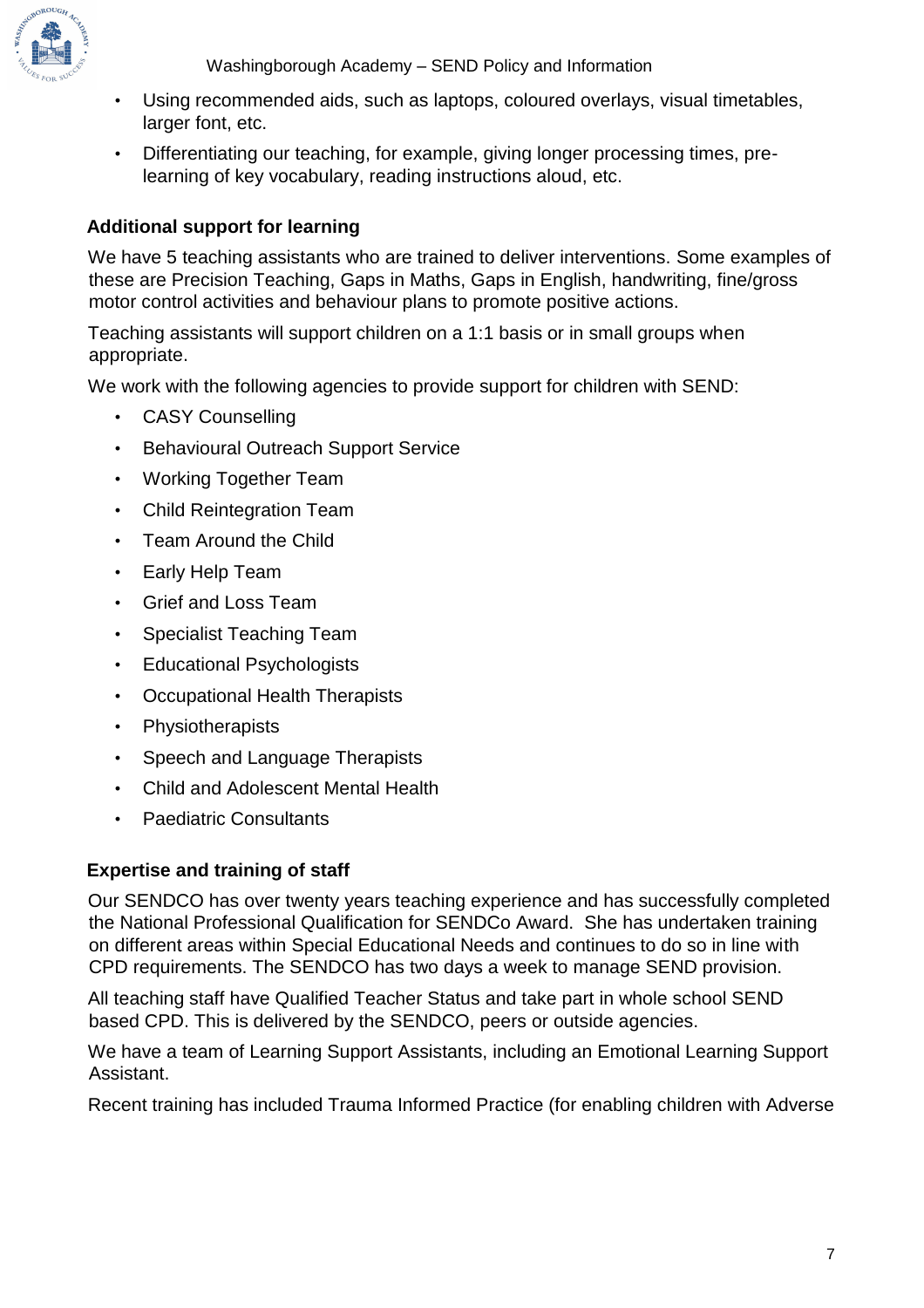

Washingborough Academy – SEND Policy and Information

- Using recommended aids, such as laptops, coloured overlays, visual timetables, larger font, etc.
- Differentiating our teaching, for example, giving longer processing times, prelearning of key vocabulary, reading instructions aloud, etc.

## **Additional support for learning**

We have 5 teaching assistants who are trained to deliver interventions. Some examples of these are Precision Teaching, Gaps in Maths, Gaps in English, handwriting, fine/gross motor control activities and behaviour plans to promote positive actions.

Teaching assistants will support children on a 1:1 basis or in small groups when appropriate.

We work with the following agencies to provide support for children with SEND:

- CASY Counselling
- Behavioural Outreach Support Service
- Working Together Team
- Child Reintegration Team
- Team Around the Child
- Early Help Team
- Grief and Loss Team
- Specialist Teaching Team
- Educational Psychologists
- Occupational Health Therapists
- Physiotherapists
- Speech and Language Therapists
- Child and Adolescent Mental Health
- Paediatric Consultants

## **Expertise and training of staff**

Our SENDCO has over twenty years teaching experience and has successfully completed the National Professional Qualification for SENDCo Award. She has undertaken training on different areas within Special Educational Needs and continues to do so in line with CPD requirements. The SENDCO has two days a week to manage SEND provision.

All teaching staff have Qualified Teacher Status and take part in whole school SEND based CPD. This is delivered by the SENDCO, peers or outside agencies.

We have a team of Learning Support Assistants, including an Emotional Learning Support Assistant.

Recent training has included Trauma Informed Practice (for enabling children with Adverse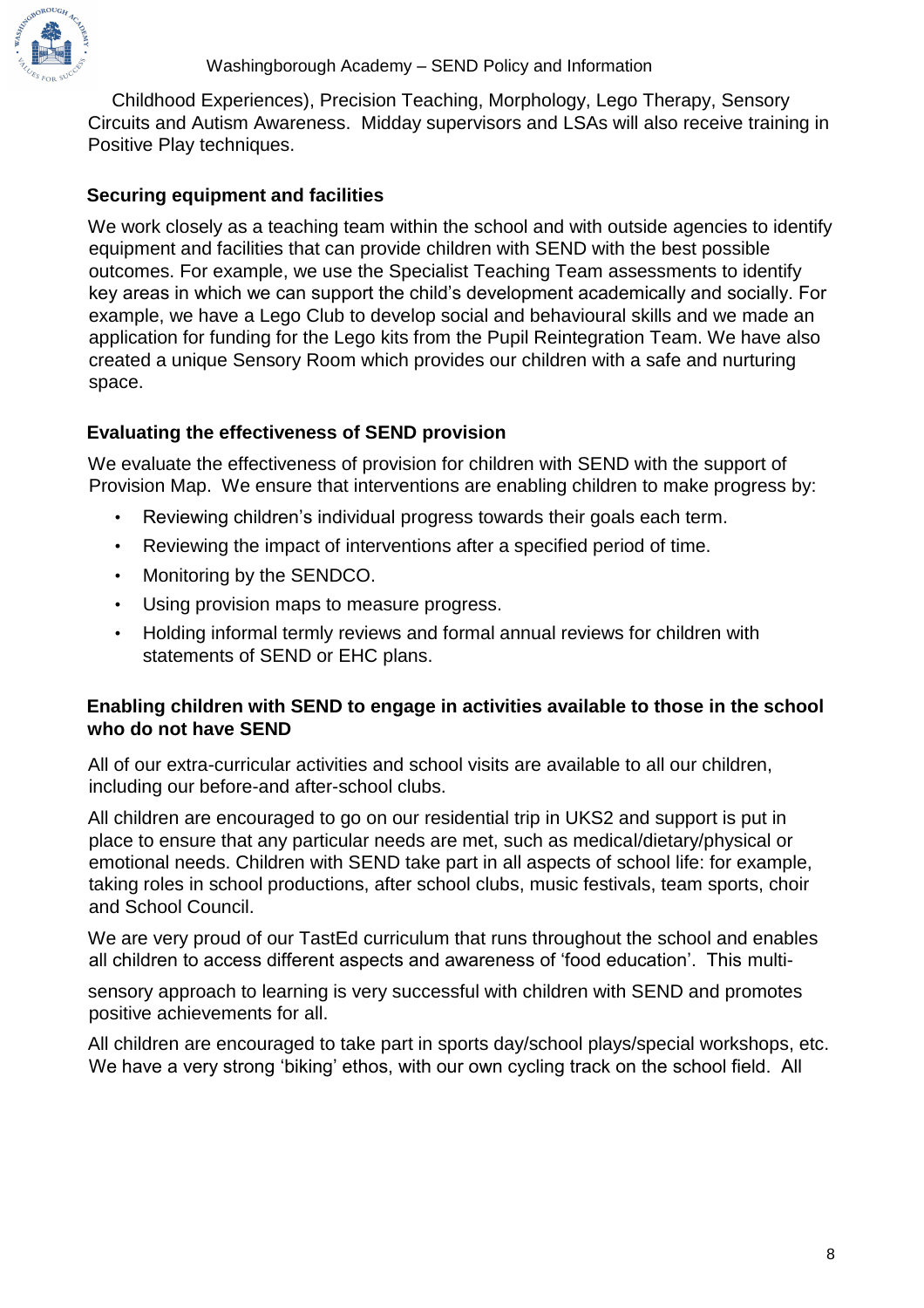

Childhood Experiences), Precision Teaching, Morphology, Lego Therapy, Sensory Circuits and Autism Awareness. Midday supervisors and LSAs will also receive training in Positive Play techniques.

#### **Securing equipment and facilities**

We work closely as a teaching team within the school and with outside agencies to identify equipment and facilities that can provide children with SEND with the best possible outcomes. For example, we use the Specialist Teaching Team assessments to identify key areas in which we can support the child's development academically and socially. For example, we have a Lego Club to develop social and behavioural skills and we made an application for funding for the Lego kits from the Pupil Reintegration Team. We have also created a unique Sensory Room which provides our children with a safe and nurturing space.

#### **Evaluating the effectiveness of SEND provision**

We evaluate the effectiveness of provision for children with SEND with the support of Provision Map. We ensure that interventions are enabling children to make progress by:

- Reviewing children's individual progress towards their goals each term.
- Reviewing the impact of interventions after a specified period of time.
- Monitoring by the SENDCO.
- Using provision maps to measure progress.
- Holding informal termly reviews and formal annual reviews for children with statements of SEND or EHC plans.

#### **Enabling children with SEND to engage in activities available to those in the school who do not have SEND**

All of our extra-curricular activities and school visits are available to all our children, including our before-and after-school clubs.

All children are encouraged to go on our residential trip in UKS2 and support is put in place to ensure that any particular needs are met, such as medical/dietary/physical or emotional needs. Children with SEND take part in all aspects of school life: for example, taking roles in school productions, after school clubs, music festivals, team sports, choir and School Council.

We are very proud of our TastEd curriculum that runs throughout the school and enables all children to access different aspects and awareness of 'food education'. This multi-

sensory approach to learning is very successful with children with SEND and promotes positive achievements for all.

All children are encouraged to take part in sports day/school plays/special workshops, etc. We have a very strong 'biking' ethos, with our own cycling track on the school field. All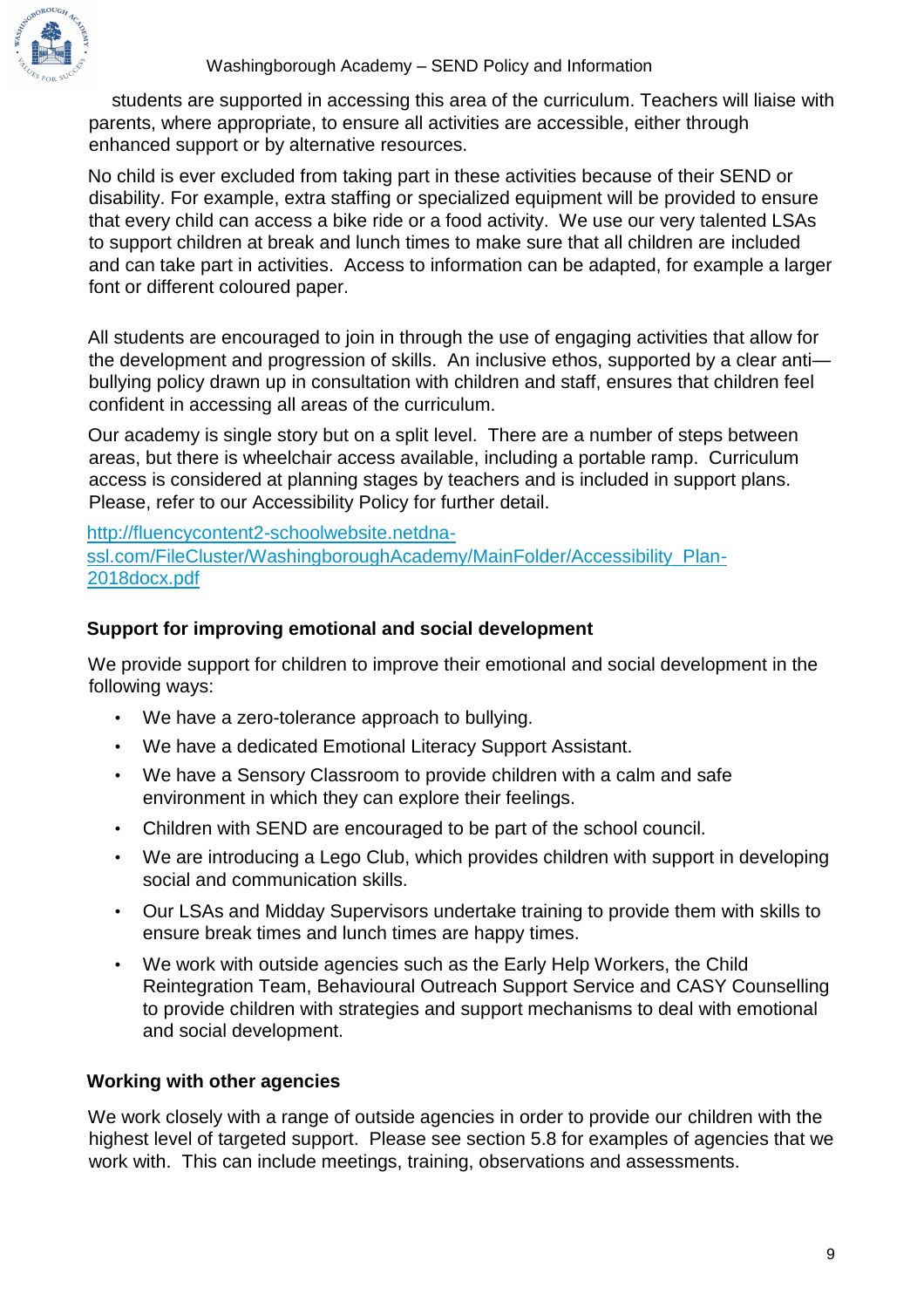students are supported in accessing this area of the curriculum. Teachers will liaise with parents, where appropriate, to ensure all activities are accessible, either through enhanced support or by alternative resources.

No child is ever excluded from taking part in these activities because of their SEND or disability. For example, extra staffing or specialized equipment will be provided to ensure that every child can access a bike ride or a food activity. We use our very talented LSAs to support children at break and lunch times to make sure that all children are included and can take part in activities. Access to information can be adapted, for example a larger font or different coloured paper.

All students are encouraged to join in through the use of engaging activities that allow for the development and progression of skills. An inclusive ethos, supported by a clear anti bullying policy drawn up in consultation with children and staff, ensures that children feel confident in accessing all areas of the curriculum.

Our academy is single story but on a split level. There are a number of steps between areas, but there is wheelchair access available, including a portable ramp. Curriculum access is considered at planning stages by teachers and is included in support plans. Please, refer to our Accessibility Policy for further detail.

[http://fluencycontent2-schoolwebsite.netdna](http://fluencycontent2-schoolwebsite.netdna-ssl.com/FileCluster/WashingboroughAcademy/MainFolder/Accessibility_Plan-2018docx.pdf)[ssl.com/FileCluster/WashingboroughAcademy/MainFolder/Accessibility\\_Plan-](http://fluencycontent2-schoolwebsite.netdna-ssl.com/FileCluster/WashingboroughAcademy/MainFolder/Accessibility_Plan-2018docx.pdf)[2018docx.pdf](http://fluencycontent2-schoolwebsite.netdna-ssl.com/FileCluster/WashingboroughAcademy/MainFolder/Accessibility_Plan-2018docx.pdf)

#### **Support for improving emotional and social development**

We provide support for children to improve their emotional and social development in the following ways:

- We have a zero-tolerance approach to bullying.
- We have a dedicated Emotional Literacy Support Assistant.
- We have a Sensory Classroom to provide children with a calm and safe environment in which they can explore their feelings.
- Children with SEND are encouraged to be part of the school council.
- We are introducing a Lego Club, which provides children with support in developing social and communication skills.
- Our LSAs and Midday Supervisors undertake training to provide them with skills to ensure break times and lunch times are happy times.
- We work with outside agencies such as the Early Help Workers, the Child Reintegration Team, Behavioural Outreach Support Service and CASY Counselling to provide children with strategies and support mechanisms to deal with emotional and social development.

#### **Working with other agencies**

We work closely with a range of outside agencies in order to provide our children with the highest level of targeted support. Please see section 5.8 for examples of agencies that we work with. This can include meetings, training, observations and assessments.